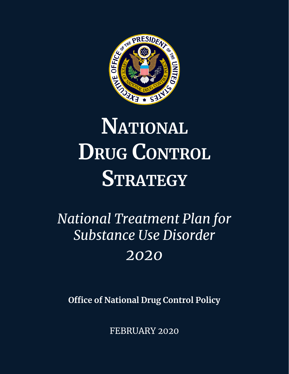

# **NATIONAL DRUG CONTROL STRATEGY**

## *National Treatment Plan for Substance Use Disorder 2020*

**Office of National Drug Control Policy** 

FEBRUARY 2020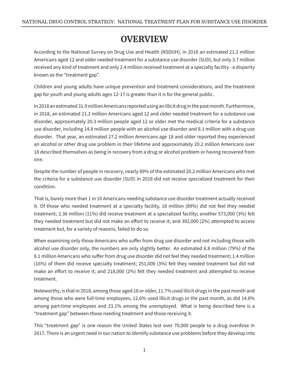## **OVERVIEW**

According to the National Survey on Drug Use and Health (NSDUH), in 2018 an estimated 21.2 million Americans aged 12 and older needed treatment for a substance use disorder (SUD), but only 3.7 million received any kind of treatment and only 2.4 million received treatment at a specialty facility - a disparity known as the "treatment gap".

Children and young adults have unique prevention and treatment considerations, and the treatment gap for youth and young adults ages 12-17 is greater than it is for the general public.

In 2018 an estimated 31.9 million Americans reported using an illicit drug in the past month. Furthermore, in 2018, an estimated 21.2 million Americans aged 12 and older needed treatment for a substance use disorder, approximately 20.3 million people aged 12 or older met the medical criteria for a substance use disorder, including 14.8 million people with an alcohol use disorder and 8.1 million with a drug use disorder. That year, an estimated 27.2 million Americans age 18 and older reported they experienced an alcohol or other drug use problem in their lifetime and approximately 20.2 million Americans over 18 described themselves as being in recovery from a drug or alcohol problem or having recovered from one.

Despite the number of people in recovery, nearly 89% of the estimated 20.2 million Americans who met the criteria for a substance use disorder (SUD) in 2018 did not receive specialized treatment for their condition.

That is, barely more than 1 in 10 Americans needing substance use disorder treatment actually received it. Of those who needed treatment at a specialty facility, 18 million (89%) did not feel they needed treatment; 2.36 million (11%) did receive treatment at a specialized facility; another 573,000 (3%) felt they needed treatment but did not make an effort to receive it; and 392,000 (2%) attempted to access treatment but, for a variety of reasons, failed to do so.

When examining only those Americans who suffer from drug use disorder and not including those with alcohol use disorder only, the numbers are only slightly better. An estimated 6.8 million (79%) of the 8.1 million Americans who suffer from drug use disorder did not feel they needed treatment; 1.4 million (16%) of them did receive specialty treatment; 251,000 (3%) felt they needed treatment but did not make an effort to receive it; and 218,000 (2%) felt they needed treatment and attempted to receive treatment.

Noteworthy, is that in 2018, among those aged 18 or older, 11.7% used illicit drugs in the past month and among those who were full-time employees, 12.6% used illicit drugs in the past month, as did 14.8% among part-time employees and 23.1% among the unemployed. What is being described here is a "treatment gap" between those needing treatment and those receiving it.

This "treatment gap" is one reason the United States lost over 70,000 people to a drug overdose in 2017. There is an urgent need in our nation to identify substance use problems before they develop into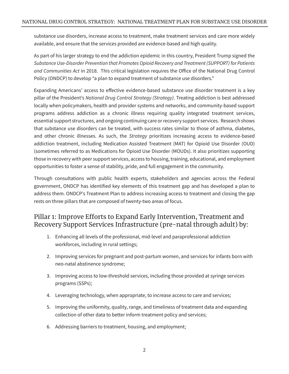substance use disorders, increase access to treatment, make treatment services and care more widely available, and ensure that the services provided are evidence-based and high quality.

As part of his larger strategy to end the addiction epidemic in this country, President Trump signed the *Substance Use-Disorder Prevention that Promotes Opioid Recovery and Treatment (SUPPORT) for Patients and Communities Act* in 2018. This critical legislation requires the Office of the National Drug Control Policy (ONDCP) to develop "a plan to expand treatment of substance use disorders."

Expanding Americans' access to effective evidence-based substance use disorder treatment is a key pillar of the President's *National Drug Control Strategy (Strategy)*. Treating addiction is best addressed locally when policymakers, health and provider systems and networks, and community-based support programs address addiction as a chronic illness requiring quality integrated treatment services, essential support structures, and ongoing continuing care or recovery support services. Research shows that substance use disorders can be treated, with success rates similar to those of asthma, diabetes, and other chronic illnesses. As such, the *Strategy* prioritizes increasing access to evidence-based addiction treatment, including Medication Assisted Treatment (MAT) for Opioid Use Disorder (OUD) (sometimes referred to as Medications for Opioid Use Disorder (MOUDs). It also prioritizes supporting those in recovery with peer support services, access to housing, training, educational, and employment opportunities to foster a sense of stability, pride, and full engagement in the community.

Through consultations with public health experts, stakeholders and agencies across the Federal government, ONDCP has identified key elements of this treatment gap and has developed a plan to address them. ONDCP's Treatment Plan to address increasing access to treatment and closing the gap rests on three pillars that are composed of twenty-two areas of focus.

#### Pillar 1: Improve Efforts to Expand Early Intervention, Treatment and Recovery Support Services Infrastructure (pre-natal through adult) by:

- 1. Enhancing all levels of the professional, mid-level and paraprofessional addiction workforces, including in rural settings;
- 2. Improving services for pregnant and post-partum women, and services for infants born with neo-natal abstinence syndrome;
- 3. Improving access to low-threshold services, including those provided at syringe services programs (SSPs);
- 4. Leveraging technology, when appropriate, to increase access to care and services;
- 5. Improving the uniformity, quality, range, and timeliness of treatment data and expanding collection of other data to better inform treatment policy and services;
- 6. Addressing barriers to treatment, housing, and employment;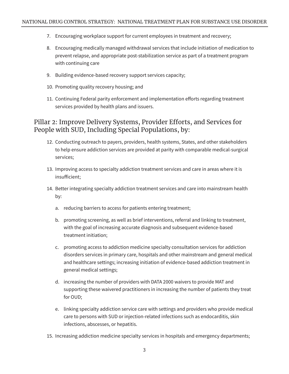- 7. Encouraging workplace support for current employees in treatment and recovery;
- 8. Encouraging medically managed withdrawal services that include initiation of medication to prevent relapse, and appropriate post-stabilization service as part of a treatment program with continuing care
- 9. Building evidence-based recovery support services capacity;
- 10. Promoting quality recovery housing; and
- 11. Continuing Federal parity enforcement and implementation efforts regarding treatment services provided by health plans and issuers.

#### Pillar 2: Improve Delivery Systems, Provider Efforts, and Services for People with SUD, Including Special Populations, by:

- 12. Conducting outreach to payers, providers, health systems, States, and other stakeholders to help ensure addiction services are provided at parity with comparable medical-surgical services;
- 13. Improving access to specialty addiction treatment services and care in areas where it is insufficient;
- 14. Better integrating specialty addiction treatment services and care into mainstream health by:
	- a. reducing barriers to access for patients entering treatment;
	- b. promoting screening, as well as brief interventions, referral and linking to treatment, with the goal of increasing accurate diagnosis and subsequent evidence-based treatment initiation;
	- c. promoting access to addiction medicine specialty consultation services for addiction disorders services in primary care, hospitals and other mainstream and general medical and healthcare settings; increasing initiation of evidence-based addiction treatment in general medical settings;
	- d. increasing the number of providers with DATA 2000 waivers to provide MAT and supporting these waivered practitioners in increasing the number of patients they treat for OUD;
	- e. linking specialty addiction service care with settings and providers who provide medical care to persons with SUD or injection-related infections such as endocarditis, skin infections, abscesses, or hepatitis.
- 15. Increasing addiction medicine specialty services in hospitals and emergency departments;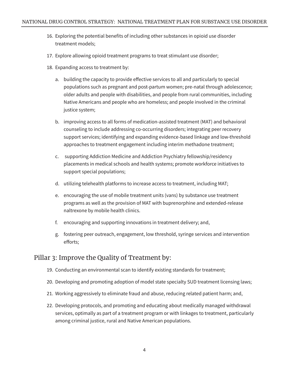- 16. Exploring the potential benefits of including other substances in opioid use disorder treatment models;
- 17. Explore allowing opioid treatment programs to treat stimulant use disorder;
- 18. Expanding access to treatment by:
	- a. building the capacity to provide effective services to all and particularly to special populations such as pregnant and post-partum women; pre-natal through adolescence; older adults and people with disabilities, and people from rural communities, including Native Americans and people who are homeless; and people involved in the criminal justice system;
	- b. improving access to all forms of medication-assisted treatment (MAT) and behavioral counseling to include addressing co-occurring disorders; integrating peer recovery support services; identifying and expanding evidence-based linkage and low-threshold approaches to treatment engagement including interim methadone treatment;
	- c. supporting Addiction Medicine and Addiction Psychiatry fellowship/residency placements in medical schools and health systems; promote workforce initiatives to support special populations;
	- d. utilizing telehealth platforms to increase access to treatment, including MAT;
	- e. encouraging the use of mobile treatment units (vans) by substance use treatment programs as well as the provision of MAT with buprenorphine and extended-release naltrexone by mobile health clinics.
	- f. encouraging and supporting innovations in treatment delivery; and,
	- g. fostering peer outreach, engagement, low threshold, syringe services and intervention efforts;

#### Pillar 3: Improve the Quality of Treatment by:

- 19. Conducting an environmental scan to identify existing standards for treatment;
- 20. Developing and promoting adoption of model state specialty SUD treatment licensing laws;
- 21. Working aggressively to eliminate fraud and abuse, reducing related patient harm; and,
- 22. Developing protocols, and promoting and educating about medically managed withdrawal services, optimally as part of a treatment program or with linkages to treatment, particularly among criminal justice, rural and Native American populations.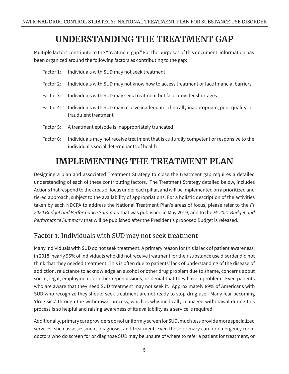## **UNDERSTANDING THE TREATMENT GAP**

Multiple factors contribute to the "treatment gap." For the purposes of this document, information has been organized around the following factors as contributing to the gap:

| Factor 1: | Individuals with SUD may not seek treatment                                                                     |
|-----------|-----------------------------------------------------------------------------------------------------------------|
| Factor 2: | Individuals with SUD may not know how to access treatment or face financial barriers                            |
| Factor 3: | Individuals with SUD may seek treatment but face provider shortages                                             |
| Factor 4: | Individuals with SUD may receive inadequate, clinically inappropriate, poor quality, or<br>fraudulent treatment |
| Factor 5: | A treatment episode is inappropriately truncated                                                                |
|           |                                                                                                                 |

Factor 6: Individuals may not receive treatment that is culturally competent or responsive to the individual's social determinants of health

## **IMPLEMENTING THE TREATMENT PLAN**

Designing a plan and associated Treatment Strategy to close the treatment gap requires a detailed understanding of each of these contributing factors. The Treatment Strategy detailed below, includes Actions that respond to the areas of focus under each pillar, and will be implemented on a prioritized and tiered approach, subject to the availability of appropriations. For a holistic description of the activities taken by each NDCPA to address the National Treatment Plan's areas of focus, please refer to the *FY 2020 Budget and Performance Summary* that was published in May 2019, and to the *FY 2021 Budget and Performance Summary* that will be published after the President's proposed Budget is released.

#### Factor 1: Individuals with SUD may not seek treatment

Many individuals with SUD do not seek treatment. A primary reason for this is lack of patient awareness: in 2018, nearly 95% of individuals who did not receive treatment for their substance use disorder did not think that they needed treatment. This is often due to patients' lack of understanding of the disease of addiction, reluctance to acknowledge an alcohol or other drug problem due to shame, concerns about social, legal, employment, or other repercussions, or denial that they have a problem. Even patients who are aware that they need SUD treatment may not seek it. Approximately 89% of Americans with SUD who recognize they should seek treatment are not ready to stop drug use. Many fear becoming 'drug sick' through the withdrawal process, which is why medically managed withdrawal during this process is so helpful and raising awareness of its availability as a service is required.

Additionally, primary care providers do not uniformly screen for SUD, much less provide more specialized services, such as assessment, diagnosis, and treatment. Even those primary care or emergency room doctors who do screen for or diagnose SUD may be unsure of where to refer a patient for treatment, or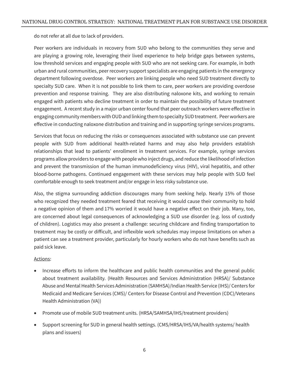do not refer at all due to lack of providers.

Peer workers are individuals in recovery from SUD who belong to the communities they serve and are playing a growing role, leveraging their lived experience to help bridge gaps between systems, low threshold services and engaging people with SUD who are not seeking care. For example, in both urban and rural communities, peer recovery support specialists are engaging patients in the emergency department following overdose. Peer workers are linking people who need SUD treatment directly to specialty SUD care. When it is not possible to link them to care, peer workers are providing overdose prevention and response training. They are also distributing naloxone kits, and working to remain engaged with patients who decline treatment in order to maintain the possibility of future treatment engagement. A recent study in a major urban center found that peer outreach workers were effective in engaging community members with OUD and linking them to specialty SUD treatment. Peer workers are effective in conducting naloxone distribution and training and in supporting syringe services programs.

Services that focus on reducing the risks or consequences associated with substance use can prevent people with SUD from additional health-related harms and may also help providers establish relationships that lead to patients' enrollment in treatment services. For example, syringe services programs allow providers to engage with people who inject drugs, and reduce the likelihood of infection and prevent the transmission of the human immunodeficiency virus (HIV), viral hepatitis, and other blood-borne pathogens. Continued engagement with these services may help people with SUD feel comfortable enough to seek treatment and/or engage in less risky substance use.

Also, the stigma surrounding addiction discourages many from seeking help. Nearly 15% of those who recognized they needed treatment feared that receiving it would cause their community to hold a negative opinion of them and 17% worried it would have a negative effect on their job. Many, too, are concerned about legal consequences of acknowledging a SUD use disorder (e.g. loss of custody of children). Logistics may also present a challenge: securing childcare and finding transportation to treatment may be costly or difficult, and inflexible work schedules may impose limitations on when a patient can see a treatment provider, particularly for hourly workers who do not have benefits such as paid sick leave.

- Increase efforts to inform the healthcare and public health communities and the general public about treatment availability. (Health Resources and Services Administration (HRSA)/ Substance Abuse and Mental Health Services Administration (SAMHSA)/Indian Health Service (IHS)/ Centers for Medicaid and Medicare Services (CMS)/ Centers for Disease Control and Prevention (CDC)/Veterans Health Administration (VA))
- Promote use of mobile SUD treatment units. (HRSA/SAMHSA/IHS/treatment providers)
- Support screening for SUD in general health settings. (CMS/HRSA/IHS/VA/health systems/ health plans and issuers)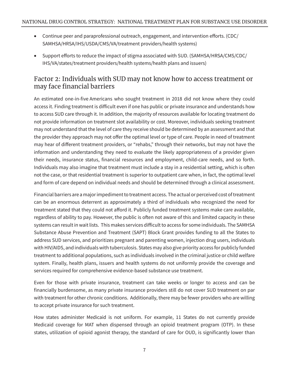- Continue peer and paraprofessional outreach, engagement, and intervention efforts. (CDC/ SAMHSA/HRSA/IHS/USDA/CMS/VA/treatment providers/health systems)
- Support efforts to reduce the impact of stigma associated with SUD. (SAMHSA/HRSA/CMS/CDC/ IHS/VA/states/treatment providers/health systems/health plans and issuers)

#### Factor 2: Individuals with SUD may not know how to access treatment or may face financial barriers

An estimated one-in-five Americans who sought treatment in 2018 did not know where they could access it. Finding treatment is difficult even if one has public or private insurance and understands how to access SUD care through it. In addition, the majority of resources available for locating treatment do not provide information on treatment slot availability or cost. Moreover, individuals seeking treatment may not understand that the level of care they receive should be determined by an assessment and that the provider they approach may not offer the optimal level or type of care. People in need of treatment may hear of different treatment providers, or "rehabs," through their networks, but may not have the information and understanding they need to evaluate the likely appropriateness of a provider given their needs, insurance status, financial resources and employment, child-care needs, and so forth. Individuals may also imagine that treatment must include a stay in a residential setting, which is often not the case, or that residential treatment is superior to outpatient care when, in fact, the optimal level and form of care depend on individual needs and should be determined through a clinical assessment.

Financial barriers are a major impediment to treatment access. The actual or perceived cost of treatment can be an enormous deterrent as approximately a third of individuals who recognized the need for treatment stated that they could not afford it. Publicly funded treatment systems make care available, regardless of ability to pay. However, the public is often not aware of this and limited capacity in these systems can result in wait lists. This makes services difficult to access for some individuals. The SAMHSA Substance Abuse Prevention and Treatment (SAPT) Block Grant provides funding to all the States to address SUD services, and prioritizes pregnant and parenting women, injection drug users, individuals with HIV/AIDS, and individuals with tuberculosis. States may also give priority access for publicly funded treatment to additional populations, such as individuals involved in the criminal justice or child welfare system. Finally, health plans, issuers and health systems do not uniformly provide the coverage and services required for comprehensive evidence-based substance use treatment.

Even for those with private insurance, treatment can take weeks or longer to access and can be financially burdensome, as many private insurance providers still do not cover SUD treatment on par with treatment for other chronic conditions. Additionally, there may be fewer providers who are willing to accept private insurance for such treatment.

How states administer Medicaid is not uniform. For example, 11 States do not currently provide Medicaid coverage for MAT when dispensed through an opioid treatment program (OTP). In these states, utilization of opioid agonist therapy, the standard of care for OUD, is significantly lower than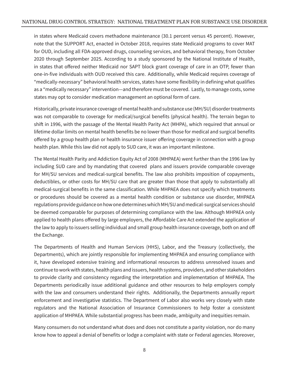in states where Medicaid covers methadone maintenance (30.1 percent versus 45 percent). However, note that the SUPPORT Act, enacted in October 2018, requires state Medicaid programs to cover MAT for OUD, including all FDA-approved drugs, counseling services, and behavioral therapy, from October 2020 through September 2025. According to a study sponsored by the National Institute of Health, in states that offered neither Medicaid nor SAPT block grant coverage of care in an OTP, fewer than one-in-five individuals with OUD received this care. Additionally, while Medicaid requires coverage of "medically-necessary" behavioral health services, states have some flexibility in defining what qualifies as a "medically necessary" intervention—and therefore must be covered. Lastly, to manage costs, some states may opt to consider medication management an optional form of care.

Historically, private insurance coverage of mental health and substance use (MH/SU) disorder treatments was not comparable to coverage for medical/surgical benefits (physical health). The terrain began to shift in 1996, with the passage of the Mental Health Parity Act (MHPA), which required that annual or lifetime dollar limits on mental health benefits be no lower than those for medical and surgical benefits offered by a group health plan or health insurance issuer offering coverage in connection with a group health plan. While this law did not apply to SUD care, it was an important milestone.

The Mental Health Parity and Addiction Equity Act of 2008 (MHPAEA) went further than the 1996 law by including SUD care and by mandating that covered plans and issuers provide comparable coverage for MH/SU services and medical-surgical benefits. The law also prohibits imposition of copayments, deductibles, or other costs for MH/SU care that are greater than those that apply to substantially all medical-surgical benefits in the same classification. While MHPAEA does not specify which treatments or procedures should be covered as a mental health condition or substance use disorder, MHPAEA regulations provide guidance on how one determines which MH/SU and medical-surgical services should be deemed comparable for purposes of determining compliance with the law. Although MHPAEA only applied to health plans offered by large employers, the Affordable Care Act extended the application of the law to apply to issuers selling individual and small group health insurance coverage, both on and off the Exchange.

The Departments of Health and Human Services (HHS), Labor, and the Treasury (collectively, the Departments), which are jointly responsible for implementing MHPAEA and ensuring compliance with it, have developed extensive training and informational resources to address unresolved issues and continue to work with states, health plans and issuers, health systems, providers, and other stakeholders to provide clarity and consistency regarding the interpretation and implementation of MHPAEA. The Departments periodically issue additional guidance and other resources to help employers comply with the law and consumers understand their rights. Additionally, the Departments annually report enforcement and investigative statistics. The Department of Labor also works very closely with state regulators and the National Association of Insurance Commissioners to help foster a consistent application of MHPAEA. While substantial progress has been made, ambiguity and inequities remain.

Many consumers do not understand what does and does not constitute a parity violation, nor do many know how to appeal a denial of benefits or lodge a complaint with state or Federal agencies. Moreover,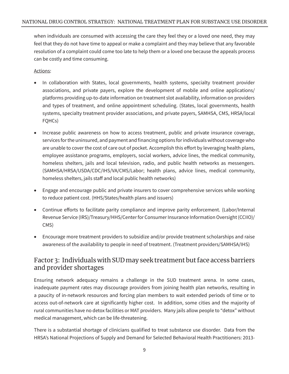when individuals are consumed with accessing the care they feel they or a loved one need, they may feel that they do not have time to appeal or make a complaint and they may believe that any favorable resolution of a complaint could come too late to help them or a loved one because the appeals process can be costly and time consuming.

#### Actions:

- In collaboration with States, local governments, health systems, specialty treatment provider associations, and private payers, explore the development of mobile and online applications/ platforms providing up-to-date information on treatment slot availability, information on providers and types of treatment, and online appointment scheduling. (States, local governments, health systems, specialty treatment provider associations, and private payers, SAMHSA, CMS, HRSA/local FQHCs)
- Increase public awareness on how to access treatment, public and private insurance coverage, services for the uninsured, and payment and financing options for individuals without coverage who are unable to cover the cost of care out of pocket. Accomplish this effort by leveraging health plans, employee assistance programs, employers, social workers, advice lines, the medical community, homeless shelters, jails and local television, radio, and public health networks as messengers. (SAMHSA/HRSA/USDA/CDC/IHS/VA/CMS/Labor; health plans, advice lines, medical community, homeless shelters, jails staff and local public health networks)
- Engage and encourage public and private insurers to cover comprehensive services while working to reduce patient cost. (HHS/States/health plans and issuers)
- Continue efforts to facilitate parity compliance and improve parity enforcement. (Labor/Internal Revenue Service (IRS)/Treasury/HHS/Center for Consumer Insurance Information Oversight (CCIIO)/ CMS)
- Encourage more treatment providers to subsidize and/or provide treatment scholarships and raise awareness of the availability to people in need of treatment. (Treatment providers/SAMHSA/IHS)

#### Factor 3: Individuals with SUD may seek treatment but face access barriers and provider shortages

Ensuring network adequacy remains a challenge in the SUD treatment arena. In some cases, inadequate payment rates may discourage providers from joining health plan networks, resulting in a paucity of in-network resources and forcing plan members to wait extended periods of time or to access out-of-network care at significantly higher cost. In addition, some cities and the majority of rural communities have no detox facilities or MAT providers. Many jails allow people to "detox" without medical management, which can be life-threatening.

There is a substantial shortage of clinicians qualified to treat substance use disorder. Data from the HRSA's National Projections of Supply and Demand for Selected Behavioral Health Practitioners: 2013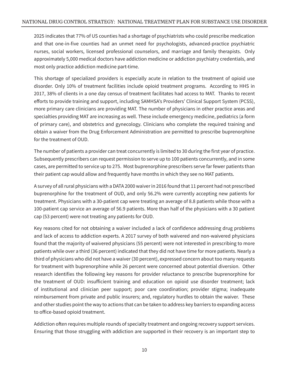2025 indicates that 77% of US counties had a shortage of psychiatrists who could prescribe medication and that one-in-five counties had an unmet need for psychologists, advanced-practice psychiatric nurses, social workers, licensed professional counselors, and marriage and family therapists. Only approximately 5,000 medical doctors have addiction medicine or addiction psychiatry credentials, and most only practice addiction medicine part-time.

This shortage of specialized providers is especially acute in relation to the treatment of opioid use disorder. Only 10% of treatment facilities include opioid treatment programs. According to HHS in 2017, 38% of clients in a one day census of treatment facilitates had access to MAT. Thanks to recent efforts to provide training and support, including SAMHSA's Providers' Clinical Support System (PCSS), more primary care clinicians are providing MAT. The number of physicians in other practice areas and specialties providing MAT are increasing as well. These include emergency medicine, pediatrics (a form of primary care), and obstetrics and gynecology. Clinicians who complete the required training and obtain a waiver from the Drug Enforcement Administration are permitted to prescribe buprenorphine for the treatment of OUD.

The number of patients a provider can treat concurrently is limited to 30 during the first year of practice. Subsequently prescribers can request permission to serve up to 100 patients concurrently, and in some cases, are permitted to service up to 275. Most buprenorphine prescribers serve far fewer patients than their patient cap would allow and frequently have months in which they see no MAT patients.

A survey of all rural physicians with a DATA 2000 waiver in 2016 found that 11 percent had not prescribed buprenorphine for the treatment of OUD, and only 56.2% were currently accepting new patients for treatment. Physicians with a 30-patient cap were treating an average of 8.8 patients while those with a 100-patient cap service an average of 56.9 patients. More than half of the physicians with a 30 patient cap (53 percent) were not treating any patients for OUD.

Key reasons cited for not obtaining a waiver included a lack of confidence addressing drug problems and lack of access to addiction experts. A 2017 survey of both waivered and non-waivered physicians found that the majority of waivered physicians (55 percent) were not interested in prescribing to more patients while over a third (36 percent) indicated that they did not have time for more patients. Nearly a third of physicians who did not have a waiver (30 percent), expressed concern about too many requests for treatment with buprenorphine while 26 percent were concerned about potential diversion. Other research identifies the following key reasons for provider reluctance to prescribe buprenorphine for the treatment of OUD: insufficient training and education on opioid use disorder treatment; lack of institutional and clinician peer support; poor care coordination; provider stigma; inadequate reimbursement from private and public insurers; and, regulatory hurdles to obtain the waiver. These and other studies point the way to actions that can be taken to address key barriers to expanding access to office-based opioid treatment.

Addiction often requires multiple rounds of specialty treatment and ongoing recovery support services. Ensuring that those struggling with addiction are supported in their recovery is an important step to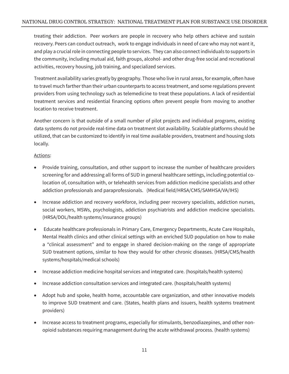treating their addiction. Peer workers are people in recovery who help others achieve and sustain recovery. Peers can conduct outreach, work to engage individuals in need of care who may not want it, and play a crucial role in connecting people to services. They can also connect individuals to supports in the community, including mutual aid, faith groups, alcohol- and other drug-free social and recreational activities, recovery housing, job training, and specialized services.

Treatment availability varies greatly by geography. Those who live in rural areas, for example, often have to travel much farther than their urban counterparts to access treatment, and some regulations prevent providers from using technology such as telemedicine to treat these populations. A lack of residential treatment services and residential financing options often prevent people from moving to another location to receive treatment.

Another concern is that outside of a small number of pilot projects and individual programs, existing data systems do not provide real-time data on treatment slot availability. Scalable platforms should be utilized, that can be customized to identify in real time available providers, treatment and housing slots locally.

- Provide training, consultation, and other support to increase the number of healthcare providers screening for and addressing all forms of SUD in general healthcare settings, including potential colocation of, consultation with, or telehealth services from addiction medicine specialists and other addiction professionals and paraprofessionals. (Medical field/HRSA/CMS/SAMHSA/VA/IHS)
- Increase addiction and recovery workforce, including peer recovery specialists, addiction nurses, social workers, MSWs, psychologists, addiction psychiatrists and addiction medicine specialists. (HRSA/DOL/health systems/insurance groups)
- • Educate healthcare professionals in Primary Care, Emergency Departments, Acute Care Hospitals, Mental Health clinics and other clinical settings with an enriched SUD population on how to make a "clinical assessment" and to engage in shared decision-making on the range of appropriate SUD treatment options, similar to how they would for other chronic diseases. (HRSA/CMS/health systems/hospitals/medical schools)
- Increase addiction medicine hospital services and integrated care. (hospitals/health systems)
- Increase addiction consultation services and integrated care. (hospitals/health systems)
- Adopt hub and spoke, health home, accountable care organization, and other innovative models to improve SUD treatment and care. (States, health plans and issuers, health systems treatment providers)
- Increase access to treatment programs, especially for stimulants, benzodiazepines, and other nonopioid substances requiring management during the acute withdrawal process. (health systems)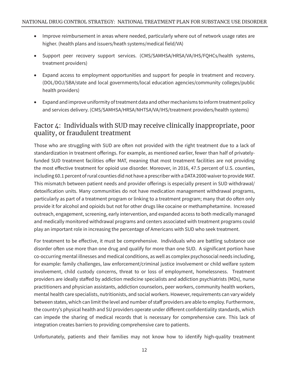- Improve reimbursement in areas where needed, particularly where out of network usage rates are higher. (health plans and issuers/heath systems/medical field/VA)
- Support peer recovery support services. (CMS/SAMHSA/HRSA/VA/IHS/FQHCs/health systems, treatment providers)
- Expand access to employment opportunities and support for people in treatment and recovery. (DOL/DOJ/SBA/state and local governments/local education agencies/community colleges/public health providers)
- • Expand and improve uniformity of treatment data and other mechanisms to inform treatment policy and services delivery. (CMS/SAMHSA/HRSA/NHTSA/VA/IHS/treatment providers/health systems)

#### Factor 4: Individuals with SUD may receive clinically inappropriate, poor quality, or fraudulent treatment

Those who are struggling with SUD are often not provided with the right treatment due to a lack of standardization in treatment offerings. For example, as mentioned earlier, fewer than half of privatelyfunded SUD treatment facilities offer MAT, meaning that most treatment facilities are not providing the most effective treatment for opioid use disorder. Moreover, in 2016, 47.5 percent of U.S. counties, including 60.1 percent of rural counties did not have a prescriber with a DATA 2000 waiver to provide MAT. This mismatch between patient needs and provider offerings is especially present in SUD withdrawal/ detoxification units. Many communities do not have medication management withdrawal programs, particularly as part of a treatment program or linking to a treatment program; many that do often only provide it for alcohol and opioids but not for other drugs like cocaine or methamphetamine. Increased outreach, engagement, screening, early intervention, and expanded access to both medically managed and medically monitored withdrawal programs and centers associated with treatment programs could play an important role in increasing the percentage of Americans with SUD who seek treatment.

For treatment to be effective, it must be comprehensive. Individuals who are battling substance use disorder often use more than one drug and qualify for more than one SUD. A significant portion have co-occurring mental illnesses and medical conditions, as well as complex psychosocial needs including, for example: family challenges, law enforcement/criminal justice involvement or child welfare system involvement, child custody concerns, threat to or loss of employment, homelessness. Treatment providers are ideally staffed by addiction medicine specialists and addiction psychiatrists (MDs), nurse practitioners and physician assistants, addiction counselors, peer workers, community health workers, mental health care specialists, nutritionists, and social workers. However, requirements can vary widely between states, which can limit the level and number of staff providers are able to employ. Furthermore, the country's physical health and SU providers operate under different confidentiality standards, which can impede the sharing of medical records that is necessary for comprehensive care. This lack of integration creates barriers to providing comprehensive care to patients.

Unfortunately, patients and their families may not know how to identify high-quality treatment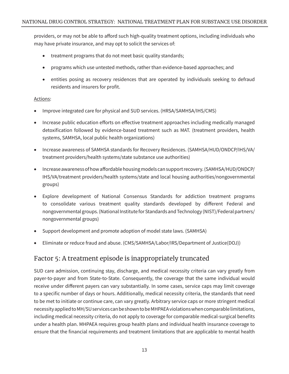providers, or may not be able to afford such high-quality treatment options, including individuals who may have private insurance, and may opt to solicit the services of:

- treatment programs that do not meet basic quality standards;
- programs which use untested methods, rather than evidence-based approaches; and
- entities posing as recovery residences that are operated by individuals seeking to defraud residents and insurers for profit.

#### Actions:

- Improve integrated care for physical and SUD services. (HRSA/SAMHSA/IHS/CMS)
- Increase public education efforts on effective treatment approaches including medically managed detoxification followed by evidence-based treatment such as MAT. (treatment providers, health systems, SAMHSA, local public health organizations)
- Increase awareness of SAMHSA standards for Recovery Residences. (SAMHSA/HUD/ONDCP/IHS/VA/ treatment providers/health systems/state substance use authorities)
- • Increase awareness of how affordable housing models can support recovery. (SAMHSA/HUD/ONDCP/ IHS/VA/treatment providers/health systems/state and local housing authorities/nongovernmental groups)
- Explore development of National Consensus Standards for addiction treatment programs to consolidate various treatment quality standards developed by different Federal and nongovernmental groups. (National Institute for Standards and Technology (NIST)/Federal partners/ nongovernmental groups)
- Support development and promote adoption of model state laws. (SAMHSA)
- Eliminate or reduce fraud and abuse. (CMS/SAMHSA/Labor/IRS/Department of Justice(DOJ))

#### Factor 5: A treatment episode is inappropriately truncated

SUD care admission, continuing stay, discharge, and medical necessity criteria can vary greatly from payer-to-payer and from State-to-State. Consequently, the coverage that the same individual would receive under different payers can vary substantially. In some cases, service caps may limit coverage to a specific number of days or hours. Additionally, medical necessity criteria, the standards that need to be met to initiate or continue care, can vary greatly. Arbitrary service caps or more stringent medical necessity applied to MH/SU services can be shown to be MHPAEA violations when comparable limitations, including medical necessity criteria, do not apply to coverage for comparable medical-surgical benefits under a health plan. MHPAEA requires group health plans and individual health insurance coverage to ensure that the financial requirements and treatment limitations that are applicable to mental health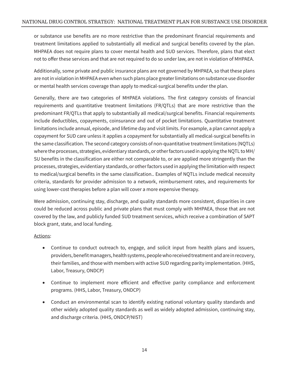or substance use benefits are no more restrictive than the predominant financial requirements and treatment limitations applied to substantially all medical and surgical benefits covered by the plan. MHPAEA does not require plans to cover mental health and SUD services. Therefore, plans that elect not to offer these services and that are not required to do so under law, are not in violation of MHPAEA.

Additionally, some private and public insurance plans are not governed by MHPAEA, so that these plans are not in violation in MHPAEA even when such plans place greater limitations on substance use disorder or mental health services coverage than apply to medical-surgical benefits under the plan.

Generally, there are two categories of MHPAEA violations. The first category consists of financial requirements and quantitative treatment limitations (FR/QTLs) that are more restrictive than the predominant FR/QTLs that apply to substantially all medical/surgical benefits. Financial requirements include deductibles, copayments, coinsurance and out of pocket limitations. Quantitative treatment limitations include annual, episode, and lifetime day and visit limits. For example, a plan cannot apply a copayment for SUD care unless it applies a copayment for substantially all medical-surgical benefits in the same classification. The second category consists of non-quantitative treatment limitations (NQTLs) where the processes, strategies, evidentiary standards, or other factors used in applying the NQTL to MH/ SU benefits in the classification are either not comparable to, or are applied more stringently than the processes, strategies, evidentiary standards, or other factors used in applying the limitation with respect to medical/surgical benefits in the same classification.. Examples of NQTLs include medical necessity criteria, standards for provider admission to a network, reimbursement rates, and requirements for using lower-cost therapies before a plan will cover a more expensive therapy.

Were admission, continuing stay, discharge, and quality standards more consistent, disparities in care could be reduced across public and private plans that must comply with MHPAEA, those that are not covered by the law, and publicly funded SUD treatment services, which receive a combination of SAPT block grant, state, and local funding.

- Continue to conduct outreach to, engage, and solicit input from health plans and issuers, providers, benefit managers, health systems, people who received treatment and are in recovery, their families, and those with members with active SUD regarding parity implementation. (HHS, Labor, Treasury, ONDCP)
- Continue to implement more efficient and effective parity compliance and enforcement programs. (HHS, Labor, Treasury, ONDCP)
- Conduct an environmental scan to identify existing national voluntary quality standards and other widely adopted quality standards as well as widely adopted admission, continuing stay, and discharge criteria. (HHS, ONDCP/NIST)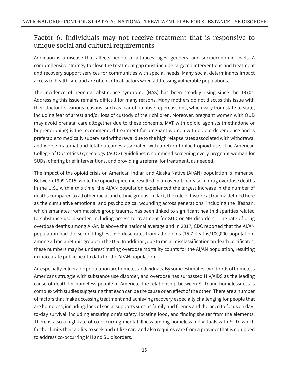#### Factor 6: Individuals may not receive treatment that is responsive to unique social and cultural requirements

Addiction is a disease that affects people of all races, ages, genders, and socioeconomic levels. A comprehensive strategy to close the treatment gap must include targeted interventions and treatment and recovery support services for communities with special needs. Many social determinants impact access to healthcare and are often critical factors when addressing vulnerable populations.

The incidence of neonatal abstinence syndrome (NAS) has been steadily rising since the 1970s. Addressing this issue remains difficult for many reasons. Many mothers do not discuss this issue with their doctor for various reasons, such as fear of punitive repercussions, which vary from state to state, including fear of arrest and/or loss of custody of their children. Moreover, pregnant women with OUD may avoid prenatal care altogether due to these concerns. MAT with opioid agonists (methadone or buprenorphine) is the recommended treatment for pregnant women with opioid dependence and is preferable to medically supervised withdrawal due to the high relapse rates associated with withdrawal and worse maternal and fetal outcomes associated with a return to illicit opioid use. The American College of Obstetrics Gynecology (ACOG) guidelines recommend screening every pregnant woman for SUDs, offering brief interventions, and providing a referral for treatment, as needed.

The impact of the opioid crisis on American Indian and Alaska Native (AI/AN) population is immense. Between 1999-2015, while the opioid epidemic resulted in an overall increase in drug overdose deaths in the U.S., within this time, the AI/AN population experienced the largest increase in the number of deaths compared to all other racial and ethnic groups. In fact, the role of historical trauma defined here as the cumulative emotional and psychological wounding across generations, including the lifespan, which emanates from massive group trauma, has been linked to significant health disparities related to substance use disorder, including access to treatment for SUD or MH disorders. The rate of drug overdose deaths among AI/AN is above the national average and in 2017, CDC reported that the AI/AN population had the second highest overdose rates from all opioids (15.7 deaths/100,000 population) among all racial/ethnic groups in the U.S. In addition, due to racial misclassification on death certificates, these numbers may be underestimating overdose mortality counts for the AI/AN population, resulting in inaccurate public health data for the AI/AN population.

An especially vulnerable population are homeless individuals. By some estimates, two-thirds of homeless Americans struggle with substance use disorder, and overdose has surpassed HIV/AIDS as the leading cause of death for homeless people in America. The relationship between SUD and homelessness is complex with studies suggesting that each can be the cause or an effect of the other. There are a number of factors that make accessing treatment and achieving recovery especially challenging for people that are homeless, including: lack of social supports such as family and friends and the need to focus on dayto-day survival, including ensuring one's safety, locating food, and finding shelter from the elements. There is also a high rate of co-occurring mental illness among homeless individuals with SUD, which further limits their ability to seek and utilize care and also requires care from a provider that is equipped to address co-occurring MH and SU disorders.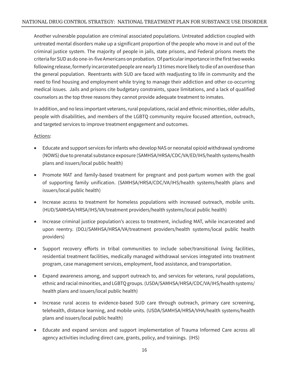Another vulnerable population are criminal associated populations. Untreated addiction coupled with untreated mental disorders make up a significant proportion of the people who move in and out of the criminal justice system. The majority of people in jails, state prisons, and Federal prisons meets the criteria for SUD as do one-in-five Americans on probation. Of particular importance in the first two weeks following release, formerly incarcerated people are nearly 13 times more likely to die of an overdose than the general population. Reentrants with SUD are faced with readjusting to life in community and the need to find housing and employment while trying to manage their addiction and other co-occurring medical issues. Jails and prisons cite budgetary constraints, space limitations, and a lack of qualified counselors as the top three reasons they cannot provide adequate treatment to inmates.

In addition, and no less important veterans, rural populations, racial and ethnic minorities, older adults, people with disabilities, and members of the LGBTQ community require focused attention, outreach, and targeted services to improve treatment engagement and outcomes.

- • Educate and support services for infants who develop NAS or neonatal opioid withdrawal syndrome (NOWS) due to prenatal substance exposure (SAMHSA/HRSA/CDC/VA/ED/IHS/health systems/health plans and issuers/local public health)
- Promote MAT and family-based treatment for pregnant and post-partum women with the goal of supporting family unification. (SAMHSA/HRSA/CDC/VA/IHS/health systems/health plans and issuers/local public health)
- Increase access to treatment for homeless populations with increased outreach, mobile units. (HUD/SAMHSA/HRSA/IHS/VA/treatment providers/health systems/local public health)
- Increase criminal justice population's access to treatment, including MAT, while incarcerated and upon reentry. (DOJ/SAMHSA/HRSA/VA/treatment providers/health systems/local public health providers)
- Support recovery efforts in tribal communities to include sober/transitional living facilities, residential treatment facilities, medically managed withdrawal services integrated into treatment program, case management services, employment, food assistance, and transportation.
- Expand awareness among, and support outreach to, and services for veterans, rural populations, ethnic and racial minorities, and LGBTQ groups. (USDA/SAMHSA/HRSA/CDC/VA/IHS/health systems/ health plans and issuers/local public health)
- Increase rural access to evidence-based SUD care through outreach, primary care screening, telehealth, distance learning, and mobile units. (USDA/SAMHSA/HRSA/VHA/health systems/health plans and issuers/local public health)
- Educate and expand services and support implementation of Trauma Informed Care across all agency activities including direct care, grants, policy, and trainings. (IHS)